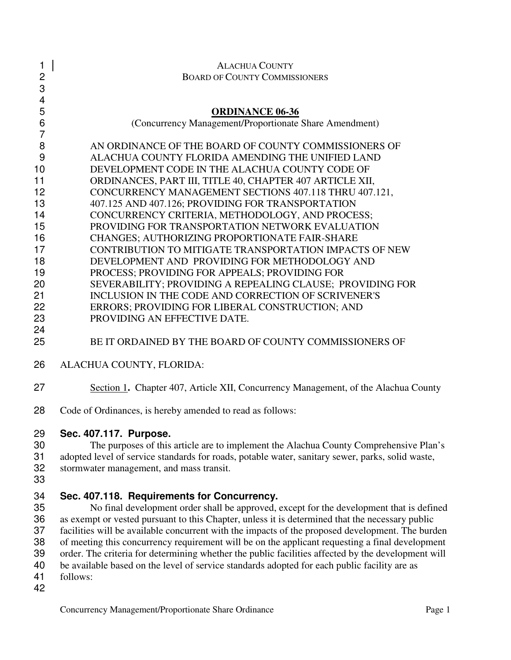| 1                        | <b>ALACHUA COUNTY</b>                                                                              |
|--------------------------|----------------------------------------------------------------------------------------------------|
| $\overline{c}$           | <b>BOARD OF COUNTY COMMISSIONERS</b>                                                               |
| 3                        |                                                                                                    |
| $\overline{\mathcal{A}}$ |                                                                                                    |
| 5<br>$\,6$               | <b>ORDINANCE 06-36</b><br>(Concurrency Management/Proportionate Share Amendment)                   |
| $\overline{7}$           |                                                                                                    |
| 8                        | AN ORDINANCE OF THE BOARD OF COUNTY COMMISSIONERS OF                                               |
| 9                        | ALACHUA COUNTY FLORIDA AMENDING THE UNIFIED LAND                                                   |
| 10                       | DEVELOPMENT CODE IN THE ALACHUA COUNTY CODE OF                                                     |
| 11                       | ORDINANCES, PART III, TITLE 40, CHAPTER 407 ARTICLE XII,                                           |
| 12                       | CONCURRENCY MANAGEMENT SECTIONS 407.118 THRU 407.121,                                              |
| 13                       | 407.125 AND 407.126; PROVIDING FOR TRANSPORTATION                                                  |
| 14                       | CONCURRENCY CRITERIA, METHODOLOGY, AND PROCESS;                                                    |
| 15                       | PROVIDING FOR TRANSPORTATION NETWORK EVALUATION                                                    |
| 16                       | <b>CHANGES; AUTHORIZING PROPORTIONATE FAIR-SHARE</b>                                               |
| 17                       | CONTRIBUTION TO MITIGATE TRANSPORTATION IMPACTS OF NEW                                             |
| 18                       | DEVELOPMENT AND PROVIDING FOR METHODOLOGY AND                                                      |
| 19                       | PROCESS; PROVIDING FOR APPEALS; PROVIDING FOR                                                      |
| 20                       | SEVERABILITY; PROVIDING A REPEALING CLAUSE; PROVIDING FOR                                          |
| 21                       | INCLUSION IN THE CODE AND CORRECTION OF SCRIVENER'S                                                |
| 22                       | ERRORS; PROVIDING FOR LIBERAL CONSTRUCTION; AND                                                    |
| 23                       | PROVIDING AN EFFECTIVE DATE.                                                                       |
| 24                       |                                                                                                    |
| 25                       | BE IT ORDAINED BY THE BOARD OF COUNTY COMMISSIONERS OF                                             |
| 26                       | ALACHUA COUNTY, FLORIDA:                                                                           |
| 27                       | Section 1. Chapter 407, Article XII, Concurrency Management, of the Alachua County                 |
| 28                       | Code of Ordinances, is hereby amended to read as follows:                                          |
| 29                       | Sec. 407.117. Purpose.                                                                             |
| 30                       | The purposes of this article are to implement the Alachua County Comprehensive Plan's              |
| 31                       | adopted level of service standards for roads, potable water, sanitary sewer, parks, solid waste,   |
| 32                       | stormwater management, and mass transit.                                                           |
| 33                       |                                                                                                    |
| 34                       | Sec. 407.118. Requirements for Concurrency.                                                        |
| 35                       | No final development order shall be approved, except for the development that is defined           |
| 36                       | as exempt or vested pursuant to this Chapter, unless it is determined that the necessary public    |
| 37                       | facilities will be available concurrent with the impacts of the proposed development. The burden   |
| 38                       | of meeting this concurrency requirement will be on the applicant requesting a final development    |
| 39                       | order. The criteria for determining whether the public facilities affected by the development will |
| 40                       | be available based on the level of service standards adopted for each public facility are as       |
| 41                       | follows:                                                                                           |

 $\frac{41}{42}$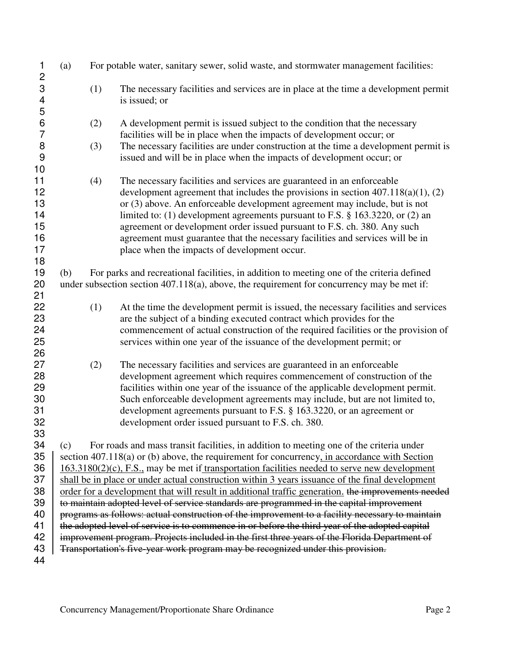| 1                                             | (a)                                                                                             |     | For potable water, sanitary sewer, solid waste, and stormwater management facilities:                                                                                                                                                                                                                                                                                                                                                                                                                                                         |  |
|-----------------------------------------------|-------------------------------------------------------------------------------------------------|-----|-----------------------------------------------------------------------------------------------------------------------------------------------------------------------------------------------------------------------------------------------------------------------------------------------------------------------------------------------------------------------------------------------------------------------------------------------------------------------------------------------------------------------------------------------|--|
| $\frac{2}{3}$<br>$\overline{\mathbf{4}}$<br>5 |                                                                                                 | (1) | The necessary facilities and services are in place at the time a development permit<br>is issued; or                                                                                                                                                                                                                                                                                                                                                                                                                                          |  |
| $\boldsymbol{6}$<br>$\overline{7}$            |                                                                                                 | (2) | A development permit is issued subject to the condition that the necessary<br>facilities will be in place when the impacts of development occur; or                                                                                                                                                                                                                                                                                                                                                                                           |  |
| 8<br>$\overline{9}$<br>10                     |                                                                                                 | (3) | The necessary facilities are under construction at the time a development permit is<br>issued and will be in place when the impacts of development occur; or                                                                                                                                                                                                                                                                                                                                                                                  |  |
| 11<br>12<br>13<br>14<br>15<br>16<br>17<br>18  |                                                                                                 | (4) | The necessary facilities and services are guaranteed in an enforceable<br>development agreement that includes the provisions in section $407.118(a)(1)$ , (2)<br>or (3) above. An enforceable development agreement may include, but is not<br>limited to: (1) development agreements pursuant to F.S. $\S$ 163.3220, or (2) an<br>agreement or development order issued pursuant to F.S. ch. 380. Any such<br>agreement must guarantee that the necessary facilities and services will be in<br>place when the impacts of development occur. |  |
| 19<br>20<br>21                                | (b)                                                                                             |     | For parks and recreational facilities, in addition to meeting one of the criteria defined<br>under subsection section $407.118(a)$ , above, the requirement for concurrency may be met if:                                                                                                                                                                                                                                                                                                                                                    |  |
| 22<br>23<br>24<br>25<br>26                    |                                                                                                 | (1) | At the time the development permit is issued, the necessary facilities and services<br>are the subject of a binding executed contract which provides for the<br>commencement of actual construction of the required facilities or the provision of<br>services within one year of the issuance of the development permit; or                                                                                                                                                                                                                  |  |
| 27<br>28<br>29<br>30<br>31<br>32<br>33        |                                                                                                 | (2) | The necessary facilities and services are guaranteed in an enforceable<br>development agreement which requires commencement of construction of the<br>facilities within one year of the issuance of the applicable development permit.<br>Such enforceable development agreements may include, but are not limited to,<br>development agreements pursuant to F.S. § 163.3220, or an agreement or<br>development order issued pursuant to F.S. ch. 380.                                                                                        |  |
| 34                                            | (c)                                                                                             |     | For roads and mass transit facilities, in addition to meeting one of the criteria under                                                                                                                                                                                                                                                                                                                                                                                                                                                       |  |
| 35                                            |                                                                                                 |     | section 407.118(a) or (b) above, the requirement for concurrency, in accordance with Section                                                                                                                                                                                                                                                                                                                                                                                                                                                  |  |
| 36                                            |                                                                                                 |     | $163.3180(2)(c)$ , F.S., may be met if transportation facilities needed to serve new development                                                                                                                                                                                                                                                                                                                                                                                                                                              |  |
| 37                                            |                                                                                                 |     | shall be in place or under actual construction within 3 years issuance of the final development                                                                                                                                                                                                                                                                                                                                                                                                                                               |  |
| 38                                            |                                                                                                 |     | order for a development that will result in additional traffic generation, the improvements needed                                                                                                                                                                                                                                                                                                                                                                                                                                            |  |
| 39                                            | to maintain adopted level of service standards are programmed in the capital improvement        |     |                                                                                                                                                                                                                                                                                                                                                                                                                                                                                                                                               |  |
| 40                                            | programs as follows: actual construction of the improvement to a facility necessary to maintain |     |                                                                                                                                                                                                                                                                                                                                                                                                                                                                                                                                               |  |
| 41                                            |                                                                                                 |     | the adopted level of service is to commence in or before the third year of the adopted capital                                                                                                                                                                                                                                                                                                                                                                                                                                                |  |
| 42                                            |                                                                                                 |     | improvement program. Projects included in the first three years of the Florida Department of                                                                                                                                                                                                                                                                                                                                                                                                                                                  |  |
| 43                                            |                                                                                                 |     | Transportation's five year work program may be recognized under this provision.                                                                                                                                                                                                                                                                                                                                                                                                                                                               |  |
| 44                                            |                                                                                                 |     |                                                                                                                                                                                                                                                                                                                                                                                                                                                                                                                                               |  |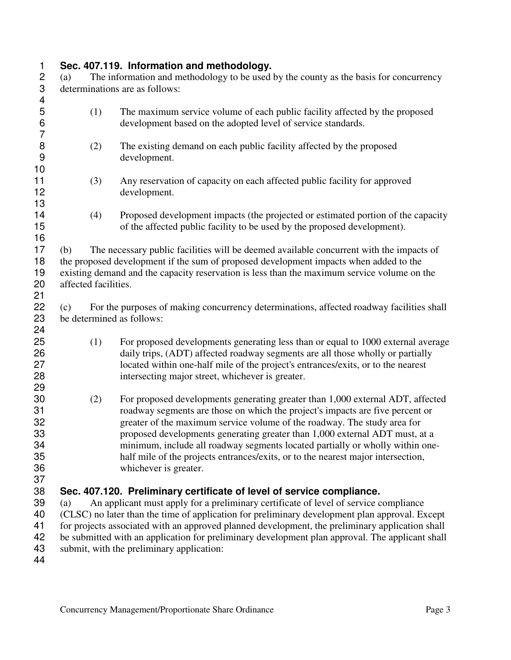# **1 Sec. 407.119. Information and methodology.**<br> **2** (a) The information and methodology to be used a

2 (a) The information and methodology to be used by the county as the basis for concurrency determinations are as follows: determinations are as follows:

| 4                                      |                                  |                                                                                                                                                                                                                                                                                                                                                                                                                                                                                                                          |
|----------------------------------------|----------------------------------|--------------------------------------------------------------------------------------------------------------------------------------------------------------------------------------------------------------------------------------------------------------------------------------------------------------------------------------------------------------------------------------------------------------------------------------------------------------------------------------------------------------------------|
| 5<br>6                                 | (1)                              | The maximum service volume of each public facility affected by the proposed<br>development based on the adopted level of service standards.                                                                                                                                                                                                                                                                                                                                                                              |
| 7<br>8<br>9                            | (2)                              | The existing demand on each public facility affected by the proposed<br>development.                                                                                                                                                                                                                                                                                                                                                                                                                                     |
| 10<br>11<br>12                         | (3)                              | Any reservation of capacity on each affected public facility for approved<br>development.                                                                                                                                                                                                                                                                                                                                                                                                                                |
| 13<br>14<br>15                         | (4)                              | Proposed development impacts (the projected or estimated portion of the capacity<br>of the affected public facility to be used by the proposed development).                                                                                                                                                                                                                                                                                                                                                             |
| 16<br>17<br>18<br>19<br>20             | (b)<br>affected facilities.      | The necessary public facilities will be deemed available concurrent with the impacts of<br>the proposed development if the sum of proposed development impacts when added to the<br>existing demand and the capacity reservation is less than the maximum service volume on the                                                                                                                                                                                                                                          |
| 21<br>22<br>23<br>24                   | (c)<br>be determined as follows: | For the purposes of making concurrency determinations, affected roadway facilities shall                                                                                                                                                                                                                                                                                                                                                                                                                                 |
| 25<br>26<br>27<br>28<br>29             | (1)                              | For proposed developments generating less than or equal to 1000 external average<br>daily trips, (ADT) affected roadway segments are all those wholly or partially<br>located within one-half mile of the project's entrances/exits, or to the nearest<br>intersecting major street, whichever is greater.                                                                                                                                                                                                               |
| 30<br>31<br>32<br>33<br>34<br>35<br>36 | (2)                              | For proposed developments generating greater than 1,000 external ADT, affected<br>roadway segments are those on which the project's impacts are five percent or<br>greater of the maximum service volume of the roadway. The study area for<br>proposed developments generating greater than 1,000 external ADT must, at a<br>minimum, include all roadway segments located partially or wholly within one-<br>half mile of the projects entrances/exits, or to the nearest major intersection,<br>whichever is greater. |
| 37<br>38<br>39<br>40<br>41<br>42       | (a)                              | Sec. 407.120. Preliminary certificate of level of service compliance.<br>An applicant must apply for a preliminary certificate of level of service compliance<br>(CLSC) no later than the time of application for preliminary development plan approval. Except<br>for projects associated with an approved planned development, the preliminary application shall<br>be submitted with an application for preliminary development plan approval. The applicant shall                                                    |
| 43                                     |                                  | submit, with the preliminary application:                                                                                                                                                                                                                                                                                                                                                                                                                                                                                |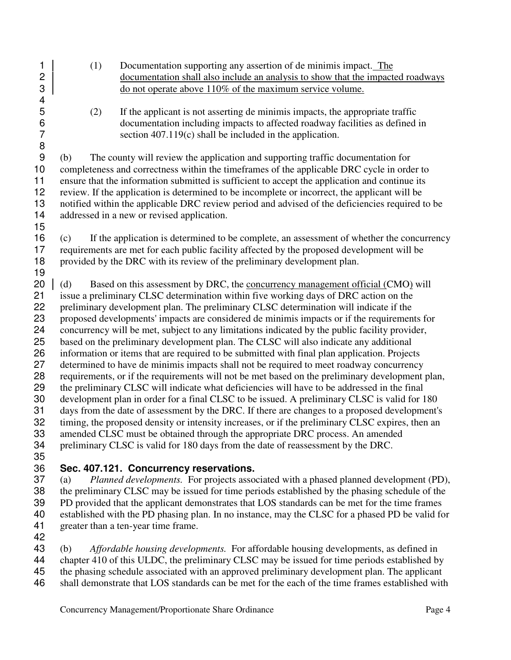- 
- (1) Documentation supporting any assertion of de minimis impact. The 2 documentation shall also include an analysis to show that the impacted roadways do not operate above 110% of the maximum service volume. do not operate above 110% of the maximum service volume.
	- (2) If the applicant is not asserting de minimis impacts, the appropriate traffic 6 documentation including impacts to affected roadway facilities as defined in<br>
	5 section 407.119(c) shall be included in the application. section  $407.119(c)$  shall be included in the application.

(b) The county will review the application and supporting traffic documentation for completeness and correctness within the timeframes of the applicable DRC cycle in order to ensure that the information submitted is sufficient to accept the application and continue its review. If the application is determined to be incomplete or incorrect, the applicant will be notified within the applicable DRC review period and advised of the deficiencies required to be addressed in a new or revised application.

- (c) If the application is determined to be complete, an assessment of whether the concurrency requirements are met for each public facility affected by the proposed development will be provided by the DRC with its review of the preliminary development plan.
- 20 (d) Based on this assessment by DRC, the concurrency management official  $(CMO)$  will issue a preliminary CLSC determination within five working days of DRC action on the preliminary development plan. The preliminary CLSC determination will indicate if the proposed developments' impacts are considered de minimis impacts or if the requirements for concurrency will be met, subject to any limitations indicated by the public facility provider, based on the preliminary development plan. The CLSC will also indicate any additional information or items that are required to be submitted with final plan application. Projects determined to have de minimis impacts shall not be required to meet roadway concurrency requirements, or if the requirements will not be met based on the preliminary development plan, the preliminary CLSC will indicate what deficiencies will have to be addressed in the final development plan in order for a final CLSC to be issued. A preliminary CLSC is valid for 180 31 days from the date of assessment by the DRC. If there are changes to a proposed development's<br>32 timing, the proposed density or intensity increases, or if the preliminary CLSC expires, then an timing, the proposed density or intensity increases, or if the preliminary CLSC expires, then an amended CLSC must be obtained through the appropriate DRC process. An amended preliminary CLSC is valid for 180 days from the date of reassessment by the DRC.
- 

## **Sec. 407.121. Concurrency reservations.**

(a) *Planned developments.* For projects associated with a phased planned development (PD), the preliminary CLSC may be issued for time periods established by the phasing schedule of the PD provided that the applicant demonstrates that LOS standards can be met for the time frames established with the PD phasing plan. In no instance, may the CLSC for a phased PD be valid for greater than a ten-year time frame.

(b) *Affordable housing developments.* For affordable housing developments, as defined in chapter 410 of this ULDC, the preliminary CLSC may be issued for time periods established by the phasing schedule associated with an approved preliminary development plan. The applicant

shall demonstrate that LOS standards can be met for the each of the time frames established with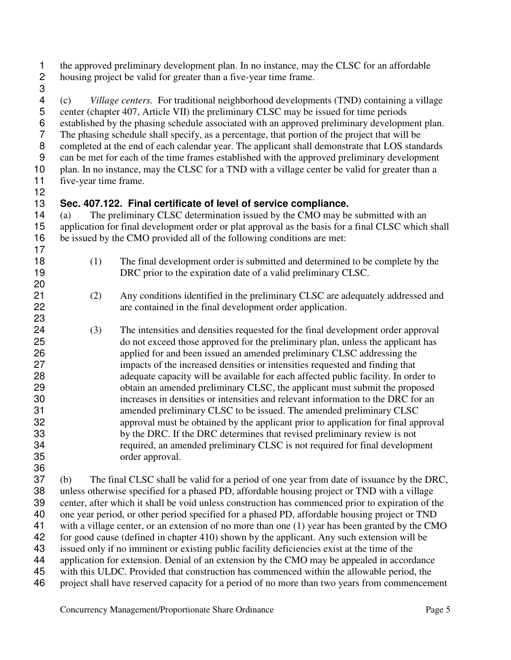the approved preliminary development plan. In no instance, may the CLSC for an affordable housing project be valid for greater than a five-year time frame.

(c) *Village centers.* For traditional neighborhood developments (TND) containing a village center (chapter 407, Article VII) the preliminary CLSC may be issued for time periods 6 established by the phasing schedule associated with an approved preliminary development plan.<br>7 The phasing schedule shall specify, as a percentage, that portion of the project that will be The phasing schedule shall specify, as a percentage, that portion of the project that will be completed at the end of each calendar year. The applicant shall demonstrate that LOS standards can be met for each of the time frames established with the approved preliminary development 10 plan. In no instance, may the CLSC for a TND with a village center be valid for greater than a five-year time frame.

### **Sec. 407.122. Final certificate of level of service compliance.**

(a) The preliminary CLSC determination issued by the CMO may be submitted with an application for final development order or plat approval as the basis for a final CLSC which shall be issued by the CMO provided all of the following conditions are met:

- (1) The final development order is submitted and determined to be complete by the 19 DRC prior to the expiration date of a valid preliminary CLSC.
- (2) Any conditions identified in the preliminary CLSC are adequately addressed and are contained in the final development order application.
- (3) The intensities and densities requested for the final development order approval do not exceed those approved for the preliminary plan, unless the applicant has applied for and been issued an amended preliminary CLSC addressing the impacts of the increased densities or intensities requested and finding that adequate capacity will be available for each affected public facility. In order to obtain an amended preliminary CLSC, the applicant must submit the proposed increases in densities or intensities and relevant information to the DRC for an amended preliminary CLSC to be issued. The amended preliminary CLSC approval must be obtained by the applicant prior to application for final approval by the DRC. If the DRC determines that revised preliminary review is not required, an amended preliminary CLSC is not required for final development order approval.

(b) The final CLSC shall be valid for a period of one year from date of issuance by the DRC, unless otherwise specified for a phased PD, affordable housing project or TND with a village center, after which it shall be void unless construction has commenced prior to expiration of the one year period, or other period specified for a phased PD, affordable housing project or TND 41 with a village center, or an extension of no more than one (1) year has been granted by the CMO for good cause (defined in chapter 410) shown by the applicant. Any such extension will be issued only if no imminent or existing public facility deficiencies exist at the time of the application for extension. Denial of an extension by the CMO may be appealed in accordance with this ULDC. Provided that construction has commenced within the allowable period, the project shall have reserved capacity for a period of no more than two years from commencement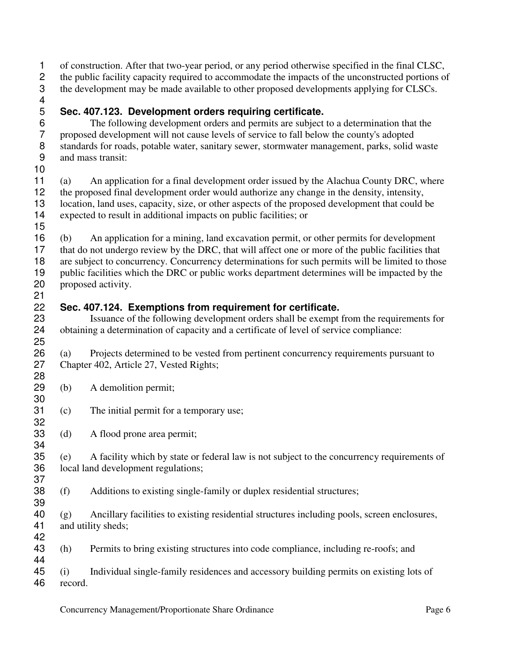of construction. After that two-year period, or any period otherwise specified in the final CLSC, the public facility capacity required to accommodate the impacts of the unconstructed portions of the development may be made available to other proposed developments applying for CLSCs.

### **Sec. 407.123. Development orders requiring certificate.**

6 The following development orders and permits are subject to a determination that the proposed development will not cause levels of service to fall below the county's adopted proposed development will not cause levels of service to fall below the county's adopted 8 standards for roads, potable water, sanitary sewer, stormwater management, parks, solid waste<br>9 and mass transit: and mass transit: 

(a) An application for a final development order issued by the Alachua County DRC, where the proposed final development order would authorize any change in the density, intensity, location, land uses, capacity, size, or other aspects of the proposed development that could be expected to result in additional impacts on public facilities; or

(b) An application for a mining, land excavation permit, or other permits for development that do not undergo review by the DRC, that will affect one or more of the public facilities that are subject to concurrency. Concurrency determinations for such permits will be limited to those public facilities which the DRC or public works department determines will be impacted by the proposed activity. 

#### **Sec. 407.124. Exemptions from requirement for certificate.**

23 Issuance of the following development orders shall be exempt from the requirements for<br>24 obtaining a determination of capacity and a certificate of level of service compliance: obtaining a determination of capacity and a certificate of level of service compliance: 

(a) Projects determined to be vested from pertinent concurrency requirements pursuant to Chapter 402, Article 27, Vested Rights; 

- (b) A demolition permit;
- (c) The initial permit for a temporary use;
- (d) A flood prone area permit;

(e) A facility which by state or federal law is not subject to the concurrency requirements of local land development regulations;

(f) Additions to existing single-family or duplex residential structures;

(g) Ancillary facilities to existing residential structures including pools, screen enclosures, and utility sheds; 

(h) Permits to bring existing structures into code compliance, including re-roofs; and

(i) Individual single-family residences and accessory building permits on existing lots of record.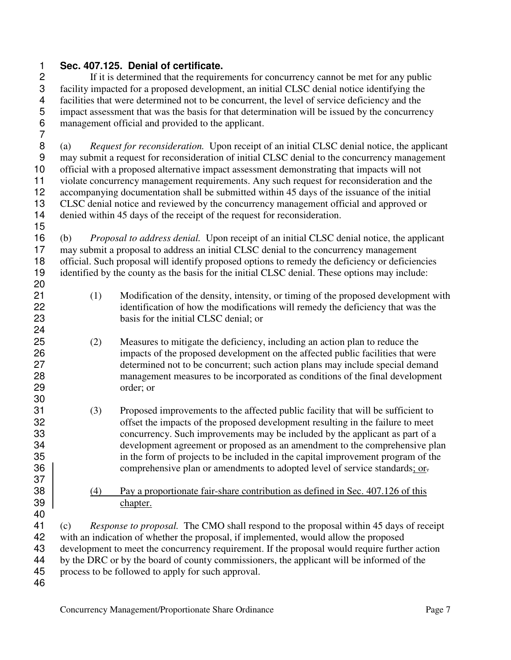#### **Sec. 407.125. Denial of certificate.**

If it is determined that the requirements for concurrency cannot be met for any public facility impacted for a proposed development, an initial CLSC denial notice identifying the 4 facilities that were determined not to be concurrent, the level of service deficiency and the impact assessment that was the basis for that determination will be issued by the concurrent 5 impact assessment that was the basis for that determination will be issued by the concurrency<br>6 management official and provided to the applicant. management official and provided to the applicant. 

(a) *Request for reconsideration.* Upon receipt of an initial CLSC denial notice, the applicant may submit a request for reconsideration of initial CLSC denial to the concurrency management official with a proposed alternative impact assessment demonstrating that impacts will not violate concurrency management requirements. Any such request for reconsideration and the accompanying documentation shall be submitted within 45 days of the issuance of the initial CLSC denial notice and reviewed by the concurrency management official and approved or denied within 45 days of the receipt of the request for reconsideration.

(b) *Proposal to address denial.* Upon receipt of an initial CLSC denial notice, the applicant may submit a proposal to address an initial CLSC denial to the concurrency management 18 official. Such proposal will identify proposed options to remedy the deficiency or deficiencies identified by the county as the basis for the initial CLSC denial. These options may include: 

- (1) Modification of the density, intensity, or timing of the proposed development with identification of how the modifications will remedy the deficiency that was the basis for the initial CLSC denial; or
- (2) Measures to mitigate the deficiency, including an action plan to reduce the impacts of the proposed development on the affected public facilities that were determined not to be concurrent; such action plans may include special demand management measures to be incorporated as conditions of the final development order; or
- (3) Proposed improvements to the affected public facility that will be sufficient to offset the impacts of the proposed development resulting in the failure to meet concurrency. Such improvements may be included by the applicant as part of a development agreement or proposed as an amendment to the comprehensive plan in the form of projects to be included in the capital improvement program of the 36 Somprehensive plan or amendments to adopted level of service standards; or.
- 38 (4) Pay a proportionate fair-share contribution as defined in Sec. 407.126 of this chapter.

(c) *Response to proposal.* The CMO shall respond to the proposal within 45 days of receipt with an indication of whether the proposal, if implemented, would allow the proposed development to meet the concurrency requirement. If the proposal would require further action by the DRC or by the board of county commissioners, the applicant will be informed of the process to be followed to apply for such approval.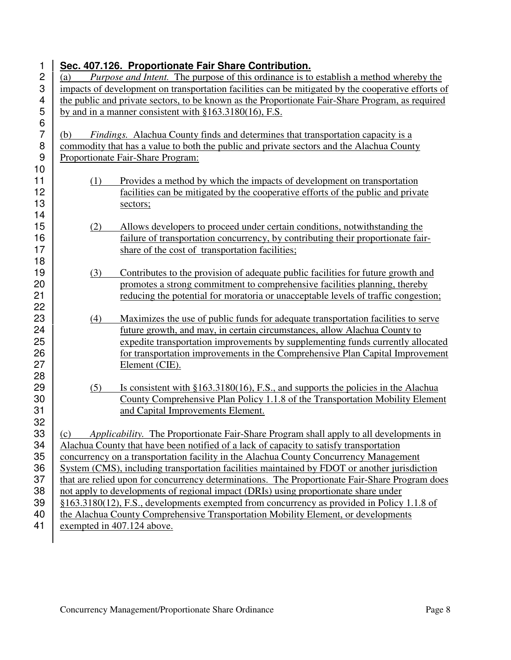| 1              |     | Sec. 407.126. Proportionate Fair Share Contribution.                                                                                                           |
|----------------|-----|----------------------------------------------------------------------------------------------------------------------------------------------------------------|
| $\overline{c}$ | (a) | <i>Purpose and Intent.</i> The purpose of this ordinance is to establish a method whereby the                                                                  |
| 3              |     | impacts of development on transportation facilities can be mitigated by the cooperative efforts of                                                             |
| 4              |     | the public and private sectors, to be known as the Proportionate Fair-Share Program, as required                                                               |
| 5              |     | by and in a manner consistent with $§163.3180(16)$ , F.S.                                                                                                      |
| 6              |     |                                                                                                                                                                |
| $\overline{7}$ | (b) | <i>Findings.</i> Alachua County finds and determines that transportation capacity is a                                                                         |
| 8              |     | commodity that has a value to both the public and private sectors and the Alachua County                                                                       |
| 9              |     | Proportionate Fair-Share Program:                                                                                                                              |
| 10             |     |                                                                                                                                                                |
| 11             | (1) | Provides a method by which the impacts of development on transportation                                                                                        |
| 12             |     | facilities can be mitigated by the cooperative efforts of the public and private                                                                               |
| 13             |     | sectors;                                                                                                                                                       |
| 14             |     |                                                                                                                                                                |
| 15             | (2) | Allows developers to proceed under certain conditions, notwithstanding the                                                                                     |
| 16             |     | failure of transportation concurrency, by contributing their proportionate fair-                                                                               |
| 17             |     | share of the cost of transportation facilities;                                                                                                                |
| 18             |     |                                                                                                                                                                |
| 19<br>20       | (3) | Contributes to the provision of adequate public facilities for future growth and<br>promotes a strong commitment to comprehensive facilities planning, thereby |
| 21             |     | reducing the potential for moratoria or unacceptable levels of traffic congestion;                                                                             |
| 22             |     |                                                                                                                                                                |
| 23             | (4) | Maximizes the use of public funds for adequate transportation facilities to serve                                                                              |
| 24             |     | future growth, and may, in certain circumstances, allow Alachua County to                                                                                      |
| 25             |     | expedite transportation improvements by supplementing funds currently allocated                                                                                |
| 26             |     | for transportation improvements in the Comprehensive Plan Capital Improvement                                                                                  |
| 27             |     | Element (CIE).                                                                                                                                                 |
| 28             |     |                                                                                                                                                                |
| 29             | (5) | Is consistent with $§163.3180(16)$ , F.S., and supports the policies in the Alachua                                                                            |
| 30             |     | County Comprehensive Plan Policy 1.1.8 of the Transportation Mobility Element                                                                                  |
| 31             |     | and Capital Improvements Element.                                                                                                                              |
| 32             |     |                                                                                                                                                                |
| 33             | (c) | Applicability. The Proportionate Fair-Share Program shall apply to all developments in                                                                         |
| 34             |     | Alachua County that have been notified of a lack of capacity to satisfy transportation                                                                         |
| 35             |     | concurrency on a transportation facility in the Alachua County Concurrency Management                                                                          |
| 36             |     | System (CMS), including transportation facilities maintained by FDOT or another jurisdiction                                                                   |
| 37             |     | that are relied upon for concurrency determinations. The Proportionate Fair-Share Program does                                                                 |
| 38             |     | not apply to developments of regional impact (DRIs) using proportionate share under                                                                            |
| 39             |     | $§163.3180(12)$ , F.S., developments exempted from concurrency as provided in Policy 1.1.8 of                                                                  |
| 40             |     | the Alachua County Comprehensive Transportation Mobility Element, or developments                                                                              |
| 41             |     | exempted in 407.124 above.                                                                                                                                     |
|                |     |                                                                                                                                                                |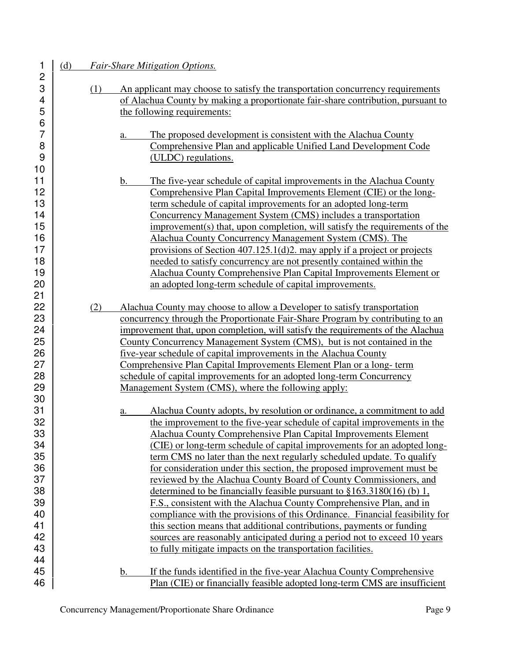1 (d) *Fair-Share Mitigation Options.* 3 (1) An applicant may choose to satisfy the transportation concurrency requirements 4 of Alachua County by making a proportionate fair-share contribution, pursuant to the following requirements: the following requirements: 7 a. The proposed development is consistent with the Alachua County 8 Comprehensive Plan and applicable Unified Land Development Code 9 (ULDC) regulations. 11 b. The five-year schedule of capital improvements in the Alachua County 12 Comprehensive Plan Capital Improvements Element (CIE) or the long-13 **term schedule of capital improvements for an adopted long-term** 14 | Concurrency Management System (CMS) includes a transportation 15 improvement(s) that, upon completion, will satisfy the requirements of the 16 Alachua County Concurrency Management System (CMS). The 17 **provisions of Section 407.125.1(d)2.** may apply if a project or projects 18 **18** needed to satisfy concurrency are not presently contained within the 19 Alachua County Comprehensive Plan Capital Improvements Element or 20 **an adopted long-term schedule of capital improvements.** 22 (2) Alachua County may choose to allow a Developer to satisfy transportation 23 **23** concurrency through the Proportionate Fair-Share Program by contributing to an 24 improvement that, upon completion, will satisfy the requirements of the Alachua 25 County Concurrency Management System (CMS), but is not contained in the 26 **five-year schedule of capital improvements in the Alachua County** 27 Comprehensive Plan Capital Improvements Element Plan or a long- term 28 Schedule of capital improvements for an adopted long-term Concurrency 29 | Management System (CMS), where the following apply: 31 a. Alachua County adopts, by resolution or ordinance, a commitment to add 32 the improvement to the five-year schedule of capital improvements in the 33 Alachua County Comprehensive Plan Capital Improvements Element 34 (CIE) or long-term schedule of capital improvements for an adopted long-35 **term CMS** no later than the next regularly scheduled update. To qualify 36 **1 b** for consideration under this section, the proposed improvement must be 37 reviewed by the Alachua County Board of County Commissioners, and 38  $\vert$  determined to be financially feasible pursuant to  $\S 163.3180(16)$  (b) 1, 39 F.S., consistent with the Alachua County Comprehensive Plan, and in 40 compliance with the provisions of this Ordinance. Financial feasibility for 41  $\vert$  this section means that additional contributions, payments or funding 42 <br>Sources are reasonably anticipated during a period not to exceed 10 years 43 **43** to fully mitigate impacts on the transportation facilities. 45 b. If the funds identified in the five-year Alachua County Comprehensive 46 Plan (CIE) or financially feasible adopted long-term CMS are insufficient

2

6

10

21

30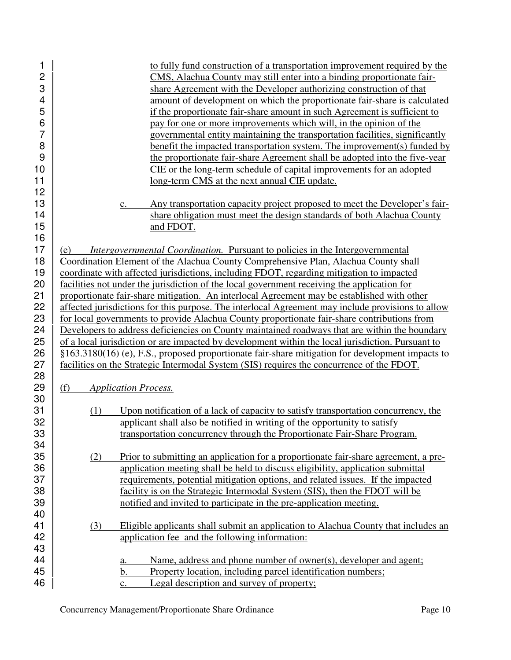| 1              | to fully fund construction of a transportation improvement required by the                        |
|----------------|---------------------------------------------------------------------------------------------------|
| $\overline{c}$ | CMS, Alachua County may still enter into a binding proportionate fair-                            |
| 3              | share Agreement with the Developer authorizing construction of that                               |
| 4              | amount of development on which the proportionate fair-share is calculated                         |
| 5              | if the proportionate fair-share amount in such Agreement is sufficient to                         |
| 6              | pay for one or more improvements which will, in the opinion of the                                |
| $\overline{7}$ | governmental entity maintaining the transportation facilities, significantly                      |
| 8              | benefit the impacted transportation system. The improvement(s) funded by                          |
| 9              | the proportionate fair-share Agreement shall be adopted into the five-year                        |
| 10             | CIE or the long-term schedule of capital improvements for an adopted                              |
| 11             | long-term CMS at the next annual CIE update.                                                      |
| 12             |                                                                                                   |
| 13             | Any transportation capacity project proposed to meet the Developer's fair-                        |
| 14             | c.<br>share obligation must meet the design standards of both Alachua County                      |
| 15             | and FDOT.                                                                                         |
| 16             |                                                                                                   |
| 17             |                                                                                                   |
|                | <i>Intergovernmental Coordination.</i> Pursuant to policies in the Intergovernmental<br>(e)       |
| 18             | Coordination Element of the Alachua County Comprehensive Plan, Alachua County shall               |
| 19             | coordinate with affected jurisdictions, including FDOT, regarding mitigation to impacted          |
| 20             | facilities not under the jurisdiction of the local government receiving the application for       |
| 21             | proportionate fair-share mitigation. An interlocal Agreement may be established with other        |
| 22             | affected jurisdictions for this purpose. The interlocal Agreement may include provisions to allow |
| 23             | for local governments to provide Alachua County proportionate fair-share contributions from       |
| 24             | Developers to address deficiencies on County maintained roadways that are within the boundary     |
| 25             | of a local jurisdiction or are impacted by development within the local jurisdiction. Pursuant to |
| 26             | §163.3180(16) (e), F.S., proposed proportionate fair-share mitigation for development impacts to  |
| 27             | facilities on the Strategic Intermodal System (SIS) requires the concurrence of the FDOT.         |
| 28             |                                                                                                   |
| 29             | (f)<br><b>Application Process.</b>                                                                |
| 30             |                                                                                                   |
| 31             | Upon notification of a lack of capacity to satisfy transportation concurrency, the<br>(1)         |
| 32             | applicant shall also be notified in writing of the opportunity to satisfy                         |
| 33             | transportation concurrency through the Proportionate Fair-Share Program.                          |
| 34             |                                                                                                   |
| 35             | Prior to submitting an application for a proportionate fair-share agreement, a pre-<br>(2)        |
| 36             | application meeting shall be held to discuss eligibility, application submittal                   |
| 37             | requirements, potential mitigation options, and related issues. If the impacted                   |
| 38             | facility is on the Strategic Intermodal System (SIS), then the FDOT will be                       |
| 39             | notified and invited to participate in the pre-application meeting.                               |
| 40             |                                                                                                   |
| 41             | Eligible applicants shall submit an application to Alachua County that includes an<br>(3)         |
| 42             | application fee and the following information:                                                    |
| 43             |                                                                                                   |
| 44             | Name, address and phone number of owner(s), developer and agent;<br>a.                            |
| 45             | Property location, including parcel identification numbers;<br>b.                                 |
| 46             | Legal description and survey of property;<br>c.                                                   |
|                |                                                                                                   |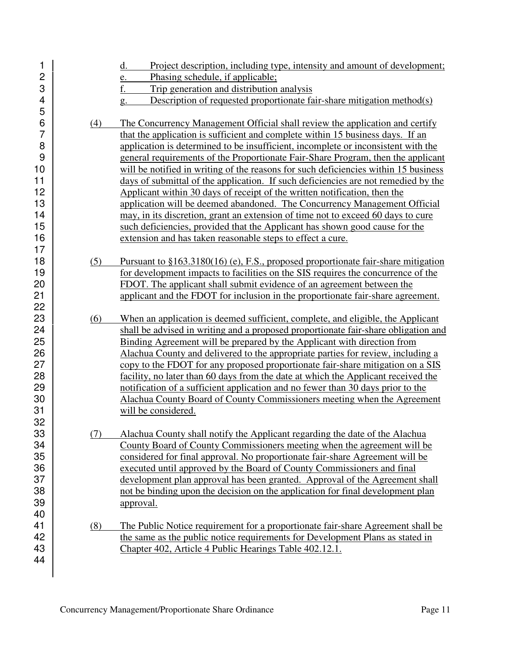| 1<br>$\overline{c}$<br>3<br>4<br>5 |     | Project description, including type, intensity and amount of development;<br>d.<br>Phasing schedule, if applicable;<br>e.<br>f.<br>Trip generation and distribution analysis<br>Description of requested proportionate fair-share mitigation method(s)<br>g. |
|------------------------------------|-----|--------------------------------------------------------------------------------------------------------------------------------------------------------------------------------------------------------------------------------------------------------------|
| 6<br>$\overline{7}$                | (4) | The Concurrency Management Official shall review the application and certify<br>that the application is sufficient and complete within 15 business days. If an                                                                                               |
| 8                                  |     | application is determined to be insufficient, incomplete or inconsistent with the                                                                                                                                                                            |
| 9                                  |     | general requirements of the Proportionate Fair-Share Program, then the applicant                                                                                                                                                                             |
| 10                                 |     | will be notified in writing of the reasons for such deficiencies within 15 business                                                                                                                                                                          |
| 11                                 |     | days of submittal of the application. If such deficiencies are not remedied by the                                                                                                                                                                           |
| 12                                 |     | Applicant within 30 days of receipt of the written notification, then the                                                                                                                                                                                    |
| 13                                 |     | application will be deemed abandoned. The Concurrency Management Official                                                                                                                                                                                    |
| 14                                 |     | may, in its discretion, grant an extension of time not to exceed 60 days to cure                                                                                                                                                                             |
| 15                                 |     | such deficiencies, provided that the Applicant has shown good cause for the                                                                                                                                                                                  |
| 16                                 |     | extension and has taken reasonable steps to effect a cure.                                                                                                                                                                                                   |
| 17                                 |     |                                                                                                                                                                                                                                                              |
| 18                                 | (5) | Pursuant to $$163.3180(16)$ (e), F.S., proposed proportionate fair-share mitigation                                                                                                                                                                          |
| 19                                 |     | for development impacts to facilities on the SIS requires the concurrence of the                                                                                                                                                                             |
| 20                                 |     | FDOT. The applicant shall submit evidence of an agreement between the                                                                                                                                                                                        |
| 21                                 |     | applicant and the FDOT for inclusion in the proportionate fair-share agreement.                                                                                                                                                                              |
| 22                                 |     |                                                                                                                                                                                                                                                              |
|                                    |     |                                                                                                                                                                                                                                                              |
| 23                                 | (6) | When an application is deemed sufficient, complete, and eligible, the Applicant                                                                                                                                                                              |
| 24                                 |     | shall be advised in writing and a proposed proportionate fair-share obligation and                                                                                                                                                                           |
| 25                                 |     | Binding Agreement will be prepared by the Applicant with direction from                                                                                                                                                                                      |
| 26                                 |     | Alachua County and delivered to the appropriate parties for review, including a                                                                                                                                                                              |
| 27                                 |     | copy to the FDOT for any proposed proportionate fair-share mitigation on a SIS                                                                                                                                                                               |
| 28                                 |     | facility, no later than 60 days from the date at which the Applicant received the                                                                                                                                                                            |
| 29                                 |     | notification of a sufficient application and no fewer than 30 days prior to the                                                                                                                                                                              |
| 30                                 |     | Alachua County Board of County Commissioners meeting when the Agreement                                                                                                                                                                                      |
| 31<br>32                           |     | will be considered.                                                                                                                                                                                                                                          |
| 33                                 | (7) | Alachua County shall notify the Applicant regarding the date of the Alachua                                                                                                                                                                                  |
| 34                                 |     | County Board of County Commissioners meeting when the agreement will be                                                                                                                                                                                      |
| 35                                 |     | considered for final approval. No proportionate fair-share Agreement will be                                                                                                                                                                                 |
| 36                                 |     | executed until approved by the Board of County Commissioners and final                                                                                                                                                                                       |
| 37                                 |     | development plan approval has been granted. Approval of the Agreement shall                                                                                                                                                                                  |
| 38                                 |     | not be binding upon the decision on the application for final development plan                                                                                                                                                                               |
| 39                                 |     | approval.                                                                                                                                                                                                                                                    |
| 40                                 |     |                                                                                                                                                                                                                                                              |
| 41                                 | (8) | The Public Notice requirement for a proportionate fair-share Agreement shall be                                                                                                                                                                              |
| 42                                 |     | the same as the public notice requirements for Development Plans as stated in                                                                                                                                                                                |
| 43<br>44                           |     | Chapter 402, Article 4 Public Hearings Table 402.12.1.                                                                                                                                                                                                       |

17

22

32

39 40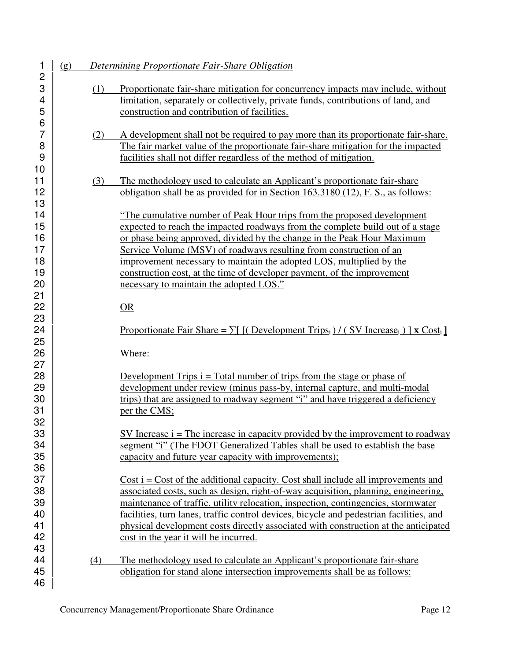| 1<br>$\mathbf{2}$                      | (g) |     | Determining Proportionate Fair-Share Obligation                                                                                                                                                                                                                                                                                                                                                                                                                                                          |
|----------------------------------------|-----|-----|----------------------------------------------------------------------------------------------------------------------------------------------------------------------------------------------------------------------------------------------------------------------------------------------------------------------------------------------------------------------------------------------------------------------------------------------------------------------------------------------------------|
| 3<br>4<br>5<br>6                       |     | (1) | Proportionate fair-share mitigation for concurrency impacts may include, without<br>limitation, separately or collectively, private funds, contributions of land, and<br>construction and contribution of facilities.                                                                                                                                                                                                                                                                                    |
| 7<br>8<br>9                            |     | (2) | A development shall not be required to pay more than its proportionate fair-share.<br>The fair market value of the proportionate fair-share mitigation for the impacted<br>facilities shall not differ regardless of the method of mitigation.                                                                                                                                                                                                                                                           |
| 10<br>11<br>12<br>13                   |     | (3) | The methodology used to calculate an Applicant's proportionate fair-share<br>obligation shall be as provided for in Section 163.3180 (12), F. S., as follows:                                                                                                                                                                                                                                                                                                                                            |
| 14<br>15<br>16<br>17<br>18<br>19<br>20 |     |     | "The cumulative number of Peak Hour trips from the proposed development<br>expected to reach the impacted roadways from the complete build out of a stage<br>or phase being approved, divided by the change in the Peak Hour Maximum<br>Service Volume (MSV) of roadways resulting from construction of an<br>improvement necessary to maintain the adopted LOS, multiplied by the<br>construction cost, at the time of developer payment, of the improvement<br>necessary to maintain the adopted LOS." |
| 21<br>22<br>23                         |     |     | OR                                                                                                                                                                                                                                                                                                                                                                                                                                                                                                       |
| 24<br>25                               |     |     | Proportionate Fair Share = $\sum$ [(Development Trips <sub>i</sub> )/(SV Increase <sub>i</sub> )] <b>x</b> Cost <sub>i</sub> ]                                                                                                                                                                                                                                                                                                                                                                           |
| 26<br>27<br>28<br>29<br>30<br>31       |     |     | Where:<br>Development Trips $i = Total$ number of trips from the stage or phase of<br>development under review (minus pass-by, internal capture, and multi-modal<br>trips) that are assigned to roadway segment "i" and have triggered a deficiency<br>per the CMS;                                                                                                                                                                                                                                      |
| 32<br>33<br>34<br>35                   |     |     | SV Increase $i$ = The increase in capacity provided by the improvement to roadway<br>segment "i" (The FDOT Generalized Tables shall be used to establish the base<br>capacity and future year capacity with improvements);                                                                                                                                                                                                                                                                               |
| 36<br>37<br>38<br>39<br>40<br>41<br>42 |     |     | $Cost i = Cost of the additional capacity. Cost shall include all improvements and$<br>associated costs, such as design, right-of-way acquisition, planning, engineering,<br>maintenance of traffic, utility relocation, inspection, contingencies, stormwater<br>facilities, turn lanes, traffic control devices, bicycle and pedestrian facilities, and<br>physical development costs directly associated with construction at the anticipated<br>cost in the year it will be incurred.                |
| 43<br>44<br>45<br>46                   |     | (4) | The methodology used to calculate an Applicant's proportionate fair-share<br>obligation for stand alone intersection improvements shall be as follows:                                                                                                                                                                                                                                                                                                                                                   |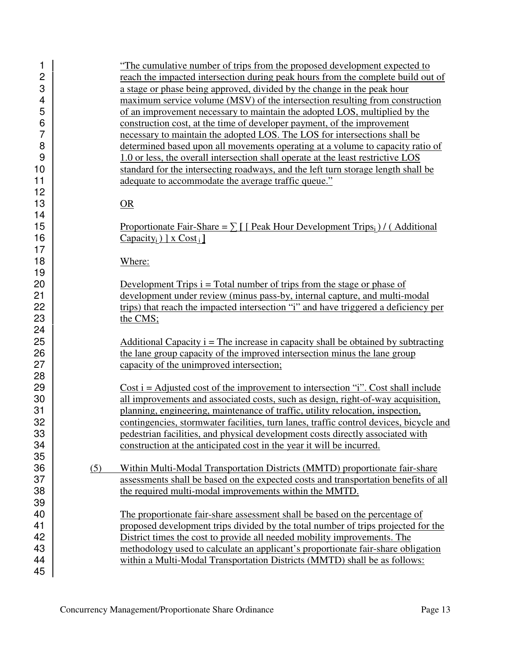| 1              | "The cumulative number of trips from the proposed development expected to                    |  |
|----------------|----------------------------------------------------------------------------------------------|--|
| $\overline{c}$ | reach the impacted intersection during peak hours from the complete build out of             |  |
| 3              | a stage or phase being approved, divided by the change in the peak hour                      |  |
| 4              | maximum service volume (MSV) of the intersection resulting from construction                 |  |
| 5              | of an improvement necessary to maintain the adopted LOS, multiplied by the                   |  |
| $\,6$          | construction cost, at the time of developer payment, of the improvement                      |  |
| $\overline{7}$ | necessary to maintain the adopted LOS. The LOS for intersections shall be                    |  |
| 8              | determined based upon all movements operating at a volume to capacity ratio of               |  |
| 9              |                                                                                              |  |
|                | 1.0 or less, the overall intersection shall operate at the least restrictive LOS             |  |
| 10             | standard for the intersecting roadways, and the left turn storage length shall be            |  |
| 11             | adequate to accommodate the average traffic queue."                                          |  |
| 12             |                                                                                              |  |
| 13             | OR                                                                                           |  |
| 14             |                                                                                              |  |
| 15             | Proportionate Fair-Share = $\sum$ [ Peak Hour Development Trips <sub>i</sub> ) / (Additional |  |
| 16             | $\frac{\text{Capacity}_i}{\text{X Cost}_i}$                                                  |  |
| 17             |                                                                                              |  |
| 18             | Where:                                                                                       |  |
| 19             |                                                                                              |  |
| 20             | Development Trips $i = Total number of trips from the stage or phase of$                     |  |
| 21             |                                                                                              |  |
|                | development under review (minus pass-by, internal capture, and multi-modal                   |  |
| 22             | trips) that reach the impacted intersection "i" and have triggered a deficiency per          |  |
| 23             | the CMS;                                                                                     |  |
| 24             |                                                                                              |  |
| 25             | Additional Capacity $i$ = The increase in capacity shall be obtained by subtracting          |  |
| 26             | the lane group capacity of the improved intersection minus the lane group                    |  |
| 27             | capacity of the unimproved intersection;                                                     |  |
| 28             |                                                                                              |  |
| 29             | Cost $i =$ Adjusted cost of the improvement to intersection "i". Cost shall include          |  |
| 30             | all improvements and associated costs, such as design, right-of-way acquisition,             |  |
| 31             | planning, engineering, maintenance of traffic, utility relocation, inspection,               |  |
| 32             | contingencies, stormwater facilities, turn lanes, traffic control devices, bicycle and       |  |
| 33             | pedestrian facilities, and physical development costs directly associated with               |  |
| 34             | construction at the anticipated cost in the year it will be incurred.                        |  |
|                |                                                                                              |  |
| 35             |                                                                                              |  |
| 36             | (5)<br>Within Multi-Modal Transportation Districts (MMTD) proportionate fair-share           |  |
| 37             | assessments shall be based on the expected costs and transportation benefits of all          |  |
| 38             | the required multi-modal improvements within the MMTD.                                       |  |
| 39             |                                                                                              |  |
| 40             | The proportionate fair-share assessment shall be based on the percentage of                  |  |
| 41             | proposed development trips divided by the total number of trips projected for the            |  |
| 42             | District times the cost to provide all needed mobility improvements. The                     |  |
| 43             | methodology used to calculate an applicant's proportionate fair-share obligation             |  |
| 44             | within a Multi-Modal Transportation Districts (MMTD) shall be as follows:                    |  |
| 45             |                                                                                              |  |
|                |                                                                                              |  |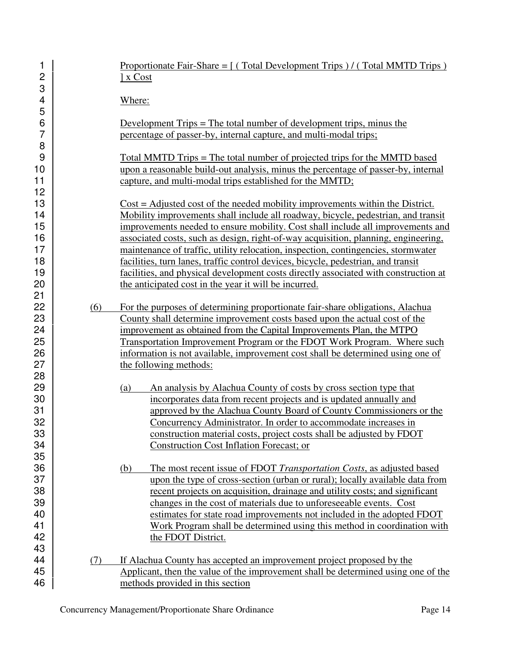| 1<br>$\overline{c}$                          |     | Proportionate Fair-Share = $\int$ (Total Development Trips)/(Total MMTD Trips)<br><u>Ix Cost</u>                                                                                                                                                                                                                                                                                                                                                                                                                                                                                                             |
|----------------------------------------------|-----|--------------------------------------------------------------------------------------------------------------------------------------------------------------------------------------------------------------------------------------------------------------------------------------------------------------------------------------------------------------------------------------------------------------------------------------------------------------------------------------------------------------------------------------------------------------------------------------------------------------|
| 3<br>$\overline{\mathbf{4}}$<br>5            |     | Where:                                                                                                                                                                                                                                                                                                                                                                                                                                                                                                                                                                                                       |
| 6<br>$\overline{7}$<br>8                     |     | Development Trips = The total number of development trips, minus the<br>percentage of passer-by, internal capture, and multi-modal trips;                                                                                                                                                                                                                                                                                                                                                                                                                                                                    |
| 9<br>10<br>11                                |     | <u>Total MMTD Trips = The total number of projected trips for the MMTD based</u><br>upon a reasonable build-out analysis, minus the percentage of passer-by, internal<br>capture, and multi-modal trips established for the MMTD;                                                                                                                                                                                                                                                                                                                                                                            |
| 12<br>13<br>14<br>15<br>16<br>17<br>18<br>19 |     | Cost = Adjusted cost of the needed mobility improvements within the District.<br>Mobility improvements shall include all roadway, bicycle, pedestrian, and transit<br>improvements needed to ensure mobility. Cost shall include all improvements and<br>associated costs, such as design, right-of-way acquisition, planning, engineering,<br>maintenance of traffic, utility relocation, inspection, contingencies, stormwater<br>facilities, turn lanes, traffic control devices, bicycle, pedestrian, and transit<br>facilities, and physical development costs directly associated with construction at |
| 20<br>21                                     |     | the anticipated cost in the year it will be incurred.                                                                                                                                                                                                                                                                                                                                                                                                                                                                                                                                                        |
| 22<br>23<br>24<br>25<br>26<br>27<br>28       | (6) | For the purposes of determining proportionate fair-share obligations, Alachua<br>County shall determine improvement costs based upon the actual cost of the<br>improvement as obtained from the Capital Improvements Plan, the MTPO<br>Transportation Improvement Program or the FDOT Work Program. Where such<br>information is not available, improvement cost shall be determined using one of<br>the following methods:                                                                                                                                                                                  |
| 29<br>30<br>31<br>32<br>33<br>34<br>35       |     | An analysis by Alachua County of costs by cross section type that<br>(a)<br>incorporates data from recent projects and is updated annually and<br>approved by the Alachua County Board of County Commissioners or the<br>Concurrency Administrator. In order to accommodate increases in<br>construction material costs, project costs shall be adjusted by FDOT<br>Construction Cost Inflation Forecast; or                                                                                                                                                                                                 |
| 36<br>37<br>38<br>39<br>40<br>41<br>42<br>43 |     | The most recent issue of FDOT Transportation Costs, as adjusted based<br>(b)<br>upon the type of cross-section (urban or rural); locally available data from<br>recent projects on acquisition, drainage and utility costs; and significant<br>changes in the cost of materials due to unforeseeable events. Cost<br>estimates for state road improvements not included in the adopted FDOT<br>Work Program shall be determined using this method in coordination with<br>the FDOT District.                                                                                                                 |
| 44<br>45                                     | (7) | If Alachua County has accepted an improvement project proposed by the<br>Applicant, then the value of the improvement shall be determined using one of the                                                                                                                                                                                                                                                                                                                                                                                                                                                   |
| 46                                           |     | methods provided in this section                                                                                                                                                                                                                                                                                                                                                                                                                                                                                                                                                                             |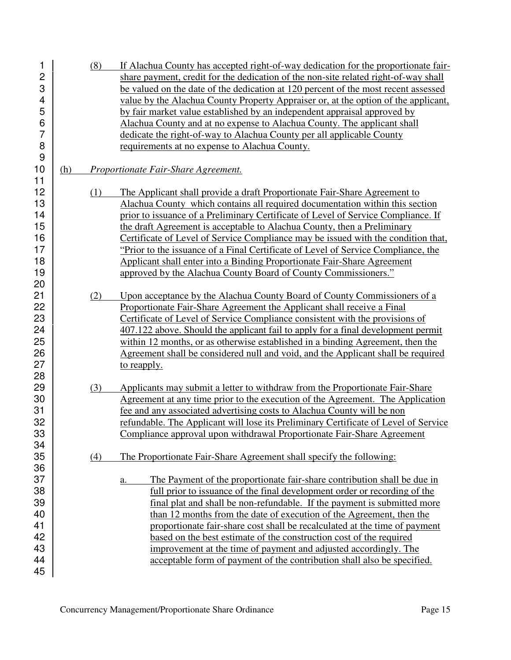| 1              |     | (8) | If Alachua County has accepted right-of-way dedication for the proportionate fair-    |
|----------------|-----|-----|---------------------------------------------------------------------------------------|
| $\overline{c}$ |     |     | share payment, credit for the dedication of the non-site related right-of-way shall   |
| 3              |     |     | be valued on the date of the dedication at 120 percent of the most recent assessed    |
| 4              |     |     | value by the Alachua County Property Appraiser or, at the option of the applicant,    |
| 5              |     |     | by fair market value established by an independent appraisal approved by              |
| 6              |     |     | Alachua County and at no expense to Alachua County. The applicant shall               |
| 7              |     |     | dedicate the right-of-way to Alachua County per all applicable County                 |
| 8              |     |     | requirements at no expense to Alachua County.                                         |
| 9              |     |     |                                                                                       |
| 10             | (h) |     | Proportionate Fair-Share Agreement.                                                   |
| 11             |     |     |                                                                                       |
| 12             |     | (1) | The Applicant shall provide a draft Proportionate Fair-Share Agreement to             |
| 13             |     |     | Alachua County which contains all required documentation within this section          |
| 14             |     |     | prior to issuance of a Preliminary Certificate of Level of Service Compliance. If     |
| 15             |     |     | the draft Agreement is acceptable to Alachua County, then a Preliminary               |
| 16             |     |     | Certificate of Level of Service Compliance may be issued with the condition that,     |
| 17             |     |     | "Prior to the issuance of a Final Certificate of Level of Service Compliance, the     |
| 18             |     |     | Applicant shall enter into a Binding Proportionate Fair-Share Agreement               |
| 19             |     |     | approved by the Alachua County Board of County Commissioners."                        |
| 20             |     |     |                                                                                       |
| 21             |     | (2) | Upon acceptance by the Alachua County Board of County Commissioners of a              |
| 22             |     |     | Proportionate Fair-Share Agreement the Applicant shall receive a Final                |
| 23             |     |     | Certificate of Level of Service Compliance consistent with the provisions of          |
| 24             |     |     | 407.122 above. Should the applicant fail to apply for a final development permit      |
| 25             |     |     | within 12 months, or as otherwise established in a binding Agreement, then the        |
| 26             |     |     | Agreement shall be considered null and void, and the Applicant shall be required      |
| 27             |     |     | to reapply.                                                                           |
| 28             |     |     |                                                                                       |
| 29             |     | (3) | Applicants may submit a letter to withdraw from the Proportionate Fair-Share          |
| 30             |     |     | Agreement at any time prior to the execution of the Agreement. The Application        |
| 31             |     |     | fee and any associated advertising costs to Alachua County will be non                |
| 32             |     |     | refundable. The Applicant will lose its Preliminary Certificate of Level of Service   |
| 33             |     |     | Compliance approval upon withdrawal Proportionate Fair-Share Agreement                |
| 34             |     |     |                                                                                       |
| 35             |     | (4) | The Proportionate Fair-Share Agreement shall specify the following:                   |
| 36             |     |     |                                                                                       |
| 37             |     |     | The Payment of the proportionate fair-share contribution shall be due in<br><u>a.</u> |
| 38             |     |     | full prior to issuance of the final development order or recording of the             |
| 39             |     |     | final plat and shall be non-refundable. If the payment is submitted more              |
| 40             |     |     | than 12 months from the date of execution of the Agreement, then the                  |
| 41             |     |     | proportionate fair-share cost shall be recalculated at the time of payment            |
| 42             |     |     | based on the best estimate of the construction cost of the required                   |
| 43             |     |     | improvement at the time of payment and adjusted accordingly. The                      |
| 44             |     |     | acceptable form of payment of the contribution shall also be specified.               |
| 45             |     |     |                                                                                       |
|                |     |     |                                                                                       |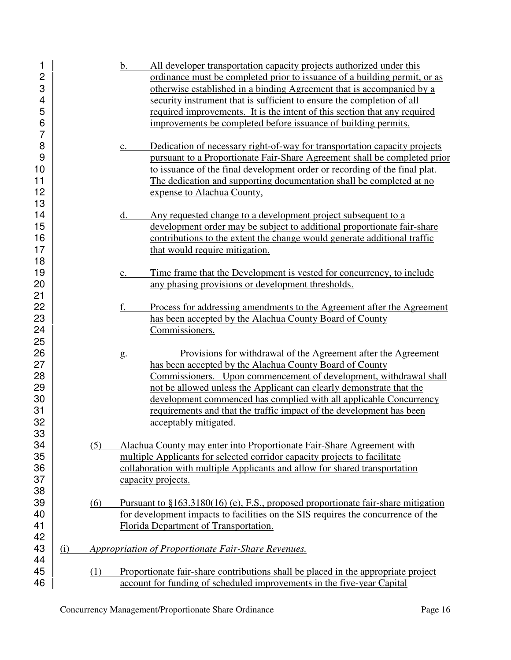| 1                       |     |     | All developer transportation capacity projects authorized under this<br>b.                  |
|-------------------------|-----|-----|---------------------------------------------------------------------------------------------|
| $\overline{c}$          |     |     | ordinance must be completed prior to issuance of a building permit, or as                   |
| 3                       |     |     | otherwise established in a binding Agreement that is accompanied by a                       |
| $\overline{\mathbf{4}}$ |     |     | security instrument that is sufficient to ensure the completion of all                      |
| 5                       |     |     | required improvements. It is the intent of this section that any required                   |
| 6                       |     |     |                                                                                             |
| $\overline{7}$          |     |     | improvements be completed before issuance of building permits.                              |
|                         |     |     |                                                                                             |
| 8                       |     |     | Dedication of necessary right-of-way for transportation capacity projects<br>$\mathbf{c}$ . |
| 9                       |     |     | pursuant to a Proportionate Fair-Share Agreement shall be completed prior                   |
| 10                      |     |     | to issuance of the final development order or recording of the final plat.                  |
| 11                      |     |     | The dedication and supporting documentation shall be completed at no                        |
| 12                      |     |     | expense to Alachua County,                                                                  |
| 13                      |     |     |                                                                                             |
| 14                      |     |     | Any requested change to a development project subsequent to a<br>d.                         |
| 15                      |     |     | development order may be subject to additional proportionate fair-share                     |
| 16                      |     |     | contributions to the extent the change would generate additional traffic                    |
| 17                      |     |     | that would require mitigation.                                                              |
| 18                      |     |     |                                                                                             |
| 19                      |     |     | Time frame that the Development is vested for concurrency, to include                       |
|                         |     |     | e.                                                                                          |
| 20                      |     |     | any phasing provisions or development thresholds.                                           |
| 21                      |     |     |                                                                                             |
| 22                      |     |     | f.<br>Process for addressing amendments to the Agreement after the Agreement                |
| 23                      |     |     | has been accepted by the Alachua County Board of County                                     |
| 24                      |     |     | Commissioners.                                                                              |
| 25                      |     |     |                                                                                             |
| 26                      |     |     | Provisions for withdrawal of the Agreement after the Agreement<br>g.                        |
| 27                      |     |     | has been accepted by the Alachua County Board of County                                     |
| 28                      |     |     | Commissioners. Upon commencement of development, withdrawal shall                           |
| 29                      |     |     | not be allowed unless the Applicant can clearly demonstrate that the                        |
| 30                      |     |     | development commenced has complied with all applicable Concurrency                          |
| 31                      |     |     | requirements and that the traffic impact of the development has been                        |
| 32                      |     |     |                                                                                             |
|                         |     |     | acceptably mitigated.                                                                       |
| 33                      |     |     |                                                                                             |
| 34                      |     | (5) | Alachua County may enter into Proportionate Fair-Share Agreement with                       |
| 35                      |     |     | multiple Applicants for selected corridor capacity projects to facilitate                   |
| 36                      |     |     | collaboration with multiple Applicants and allow for shared transportation                  |
| 37                      |     |     | capacity projects.                                                                          |
| 38                      |     |     |                                                                                             |
| 39                      |     | (6) | Pursuant to $$163.3180(16)$ (e), F.S., proposed proportionate fair-share mitigation         |
| 40                      |     |     | for development impacts to facilities on the SIS requires the concurrence of the            |
| 41                      |     |     | Florida Department of Transportation.                                                       |
| 42                      |     |     |                                                                                             |
| 43                      | (i) |     | Appropriation of Proportionate Fair-Share Revenues.                                         |
| 44                      |     |     |                                                                                             |
| 45                      |     | (1) | Proportionate fair-share contributions shall be placed in the appropriate project           |
| 46                      |     |     | account for funding of scheduled improvements in the five-year Capital                      |
|                         |     |     |                                                                                             |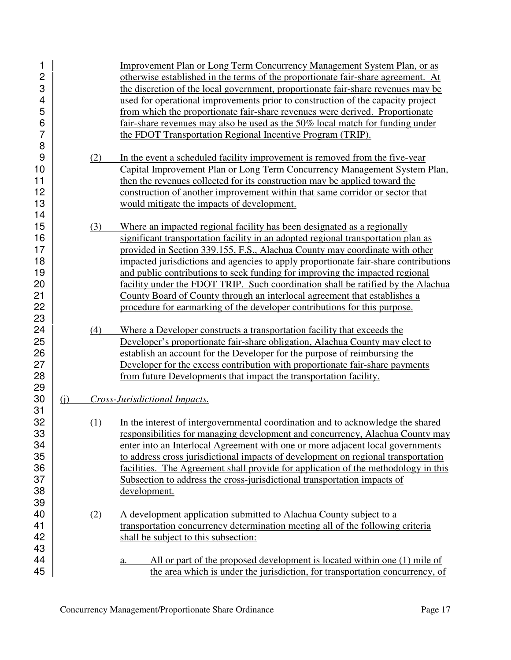| 1              |          |     | Improvement Plan or Long Term Concurrency Management System Plan, or as             |
|----------------|----------|-----|-------------------------------------------------------------------------------------|
| $\overline{c}$ |          |     | otherwise established in the terms of the proportionate fair-share agreement. At    |
| 3              |          |     | the discretion of the local government, proportionate fair-share revenues may be    |
| 4              |          |     | used for operational improvements prior to construction of the capacity project     |
| 5              |          |     | from which the proportionate fair-share revenues were derived. Proportionate        |
| 6              |          |     | fair-share revenues may also be used as the 50% local match for funding under       |
| 7              |          |     | the FDOT Transportation Regional Incentive Program (TRIP).                          |
| 8              |          |     |                                                                                     |
| 9              |          | (2) | In the event a scheduled facility improvement is removed from the five-year         |
| 10             |          |     | Capital Improvement Plan or Long Term Concurrency Management System Plan,           |
| 11             |          |     | then the revenues collected for its construction may be applied toward the          |
| 12             |          |     | construction of another improvement within that same corridor or sector that        |
| 13             |          |     | would mitigate the impacts of development.                                          |
| 14             |          |     |                                                                                     |
| 15             |          | (3) | Where an impacted regional facility has been designated as a regionally             |
| 16             |          |     | significant transportation facility in an adopted regional transportation plan as   |
| 17             |          |     | provided in Section 339.155, F.S., Alachua County may coordinate with other         |
| 18             |          |     | impacted jurisdictions and agencies to apply proportionate fair-share contributions |
| 19             |          |     | and public contributions to seek funding for improving the impacted regional        |
| 20             |          |     | facility under the FDOT TRIP. Such coordination shall be ratified by the Alachua    |
| 21             |          |     | County Board of County through an interlocal agreement that establishes a           |
| 22             |          |     | procedure for earmarking of the developer contributions for this purpose.           |
| 23             |          |     |                                                                                     |
| 24             |          | (4) | Where a Developer constructs a transportation facility that exceeds the             |
| 25             |          |     | Developer's proportionate fair-share obligation, Alachua County may elect to        |
| 26             |          |     | establish an account for the Developer for the purpose of reimbursing the           |
| 27             |          |     | Developer for the excess contribution with proportionate fair-share payments        |
| 28             |          |     | from future Developments that impact the transportation facility.                   |
| 29             |          |     |                                                                                     |
| 30             | $\Omega$ |     | Cross-Jurisdictional Impacts.                                                       |
| 31             |          |     |                                                                                     |
| 32             |          | (1) | In the interest of intergovernmental coordination and to acknowledge the shared     |
| 33             |          |     | responsibilities for managing development and concurrency, Alachua County may       |
| 34             |          |     | enter into an Interlocal Agreement with one or more adjacent local governments      |
| 35             |          |     | to address cross jurisdictional impacts of development on regional transportation   |
| 36             |          |     | facilities. The Agreement shall provide for application of the methodology in this  |
| 37             |          |     | Subsection to address the cross-jurisdictional transportation impacts of            |
| 38             |          |     | development.                                                                        |
| 39             |          |     |                                                                                     |
| 40             |          | (2) | A development application submitted to Alachua County subject to a                  |
| 41             |          |     | transportation concurrency determination meeting all of the following criteria      |
| 42             |          |     | shall be subject to this subsection:                                                |
| 43             |          |     |                                                                                     |
| 44             |          |     | All or part of the proposed development is located within one (1) mile of<br>a.     |
| 45             |          |     | the area which is under the jurisdiction, for transportation concurrency, of        |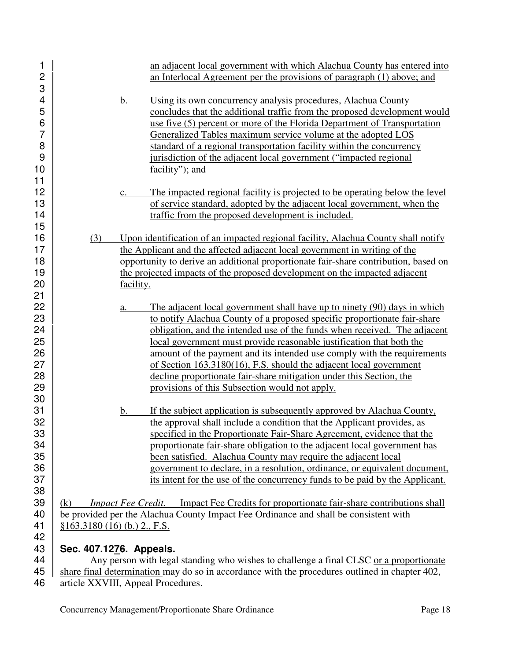| 1              | an adjacent local government with which Alachua County has entered into                                                                          |  |  |
|----------------|--------------------------------------------------------------------------------------------------------------------------------------------------|--|--|
| $\overline{c}$ | an Interlocal Agreement per the provisions of paragraph (1) above; and                                                                           |  |  |
| 3<br>4<br>5    | Using its own concurrency analysis procedures, Alachua County<br>b.<br>concludes that the additional traffic from the proposed development would |  |  |
| 6              | use five (5) percent or more of the Florida Department of Transportation                                                                         |  |  |
| $\overline{7}$ | Generalized Tables maximum service volume at the adopted LOS                                                                                     |  |  |
| 8              | standard of a regional transportation facility within the concurrency                                                                            |  |  |
| 9              | jurisdiction of the adjacent local government ("impacted regional                                                                                |  |  |
| 10             | facility"); and                                                                                                                                  |  |  |
| 11             |                                                                                                                                                  |  |  |
| 12             | The impacted regional facility is projected to be operating below the level<br>$\mathbf{c}$ .                                                    |  |  |
| 13             | of service standard, adopted by the adjacent local government, when the                                                                          |  |  |
| 14             | traffic from the proposed development is included.                                                                                               |  |  |
| 15             |                                                                                                                                                  |  |  |
| 16             | Upon identification of an impacted regional facility, Alachua County shall notify<br>(3)                                                         |  |  |
| 17             | the Applicant and the affected adjacent local government in writing of the                                                                       |  |  |
| 18             | opportunity to derive an additional proportionate fair-share contribution, based on                                                              |  |  |
| 19             | the projected impacts of the proposed development on the impacted adjacent                                                                       |  |  |
| 20             | facility.                                                                                                                                        |  |  |
| 21             |                                                                                                                                                  |  |  |
| 22             | The adjacent local government shall have up to ninety (90) days in which<br>a.                                                                   |  |  |
| 23             | to notify Alachua County of a proposed specific proportionate fair-share                                                                         |  |  |
| 24             | obligation, and the intended use of the funds when received. The adjacent                                                                        |  |  |
| 25             | local government must provide reasonable justification that both the                                                                             |  |  |
| 26             | amount of the payment and its intended use comply with the requirements                                                                          |  |  |
| 27             | of Section 163.3180(16), F.S. should the adjacent local government                                                                               |  |  |
| 28<br>29       | decline proportionate fair-share mitigation under this Section, the                                                                              |  |  |
| 30             | provisions of this Subsection would not apply.                                                                                                   |  |  |
| 31             | If the subject application is subsequently approved by Alachua County,<br>b.                                                                     |  |  |
| 32             | the approval shall include a condition that the Applicant provides, as                                                                           |  |  |
| 33             | specified in the Proportionate Fair-Share Agreement, evidence that the                                                                           |  |  |
| 34             | proportionate fair-share obligation to the adjacent local government has                                                                         |  |  |
| 35             | been satisfied. Alachua County may require the adjacent local                                                                                    |  |  |
| 36             | government to declare, in a resolution, ordinance, or equivalent document,                                                                       |  |  |
| 37             | its intent for the use of the concurrency funds to be paid by the Applicant.                                                                     |  |  |
| 38             |                                                                                                                                                  |  |  |
| 39             | Impact Fee Credits for proportionate fair-share contributions shall<br><b>Impact Fee Credit.</b><br>(k)                                          |  |  |
| 40             | be provided per the Alachua County Impact Fee Ordinance and shall be consistent with                                                             |  |  |
| 41             | $§163.3180(16)$ (b.) 2., F.S.                                                                                                                    |  |  |
| 42             |                                                                                                                                                  |  |  |
| 43             | Sec. 407.1276. Appeals.                                                                                                                          |  |  |

44 Any person with legal standing who wishes to challenge a final CLSC or a proportionate 45 share final determination may do so in accordance with the procedures outlined in chapter 402, article XXVIII, Appeal Procedures. article XXVIII, Appeal Procedures.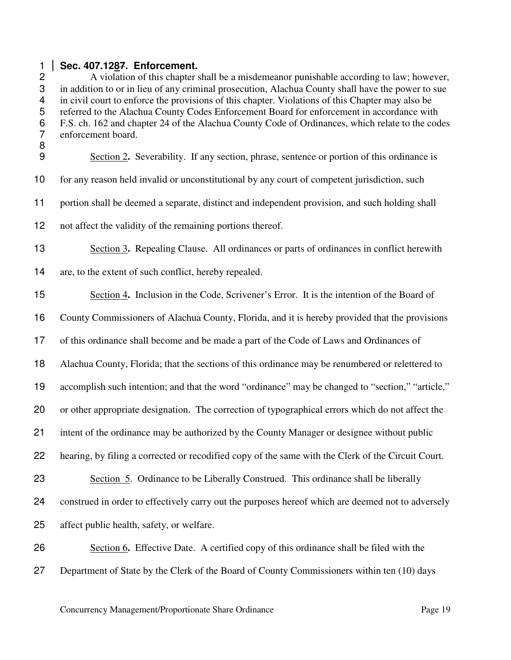#### **Sec. 407.1287. Enforcement.**

A violation of this chapter shall be a misdemeanor punishable according to law; however, in addition to or in lieu of any criminal prosecution, Alachua County shall have the power to sue in civil court to enforce the provisions of this chapter. Violations of this Chapter may also be referred to the Alachua County Codes Enforcement Board for enforcement in accordance with F.S. ch. 162 and chapter 24 of the Alachua County Code of Ordinances, which relate to the codes enforcement board. Section 2**.** Severability. If any section, phrase, sentence or portion of this ordinance is for any reason held invalid or unconstitutional by any court of competent jurisdiction, such portion shall be deemed a separate, distinct and independent provision, and such holding shall not affect the validity of the remaining portions thereof. Section 3**.** Repealing Clause. All ordinances or parts of ordinances in conflict herewith are, to the extent of such conflict, hereby repealed. Section 4**.** Inclusion in the Code, Scrivener's Error. It is the intention of the Board of County Commissioners of Alachua County, Florida, and it is hereby provided that the provisions of this ordinance shall become and be made a part of the Code of Laws and Ordinances of Alachua County, Florida; that the sections of this ordinance may be renumbered or relettered to accomplish such intention; and that the word "ordinance" may be changed to "section," "article," or other appropriate designation. The correction of typographical errors which do not affect the intent of the ordinance may be authorized by the County Manager or designee without public hearing, by filing a corrected or recodified copy of the same with the Clerk of the Circuit Court. Section 5. Ordinance to be Liberally Construed. This ordinance shall be liberally construed in order to effectively carry out the purposes hereof which are deemed not to adversely affect public health, safety, or welfare. Section 6**.** Effective Date. A certified copy of this ordinance shall be filed with the

Department of State by the Clerk of the Board of County Commissioners within ten (10) days

Concurrency Management/Proportionate Share Ordinance Page 19